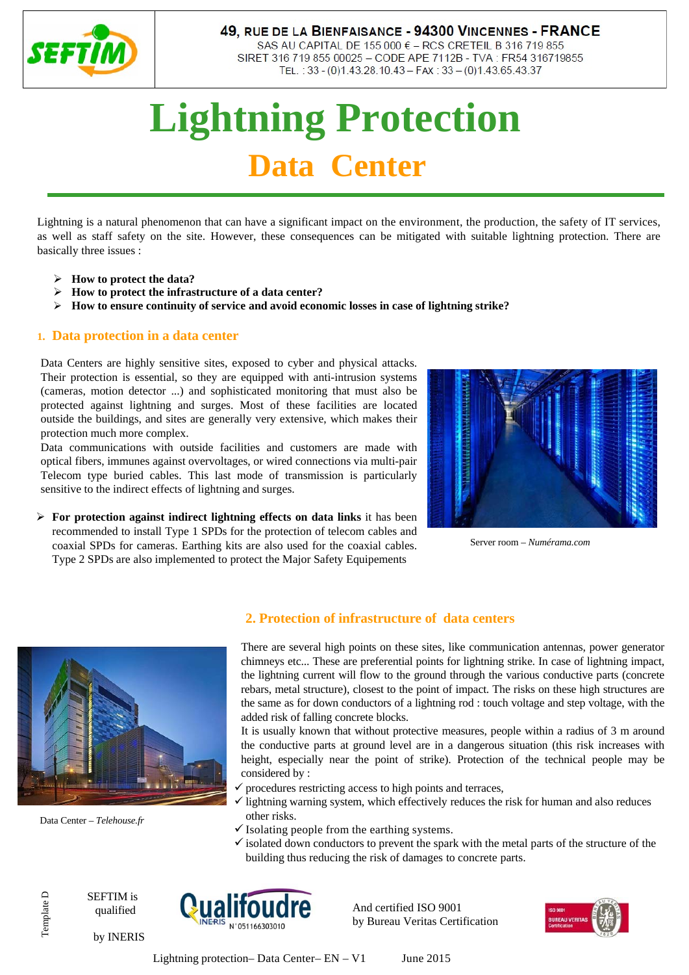

### 49, RUE DE LA BIENFAISANCE - 94300 VINCENNES - FRANCE

SAS AU CAPITAL DE 155 000 € - RCS CRETEIL B 316 719 855 SIRET 316 719 855 00025 - CODE APE 7112B - TVA : FR54 316719855 TEL.: 33 - (0)1.43.28.10.43 - FAX: 33 - (0)1.43.65.43.37

# **Lightning Protection Data Center**

Lightning is a natural phenomenon that can have a significant impact on the environment, the production, the safety of IT services, as well as staff safety on the site. However, these consequences can be mitigated with suitable lightning protection. There are basically three issues :

- **How to protect the data?**
- **How to protect the infrastructure of a data center?**
- **How to ensure continuity of service and avoid economic losses in case of lightning strike?**

#### **1. Data protection in a data center**

Data Centers are highly sensitive sites, exposed to cyber and physical attacks. Their protection is essential, so they are equipped with anti-intrusion systems (cameras, motion detector ...) and sophisticated monitoring that must also be protected against lightning and surges. Most of these facilities are located outside the buildings, and sites are generally very extensive, which makes their protection much more complex.

Data communications with outside facilities and customers are made with optical fibers, immunes against overvoltages, or wired connections via multi-pair Telecom type buried cables. This last mode of transmission is particularly sensitive to the indirect effects of lightning and surges.

 **For protection against indirect lightning effects on data links** it has been recommended to install Type 1 SPDs for the protection of telecom cables and coaxial SPDs for cameras. Earthing kits are also used for the coaxial cables. Type 2 SPDs are also implemented to protect the Major Safety Equipements



Server room – *Numérama.com*



Data Center – *Telehouse.fr*

Template D

Template D

#### **2. Protection of infrastructure of data centers**

There are several high points on these sites, like communication antennas, power generator chimneys etc... These are preferential points for lightning strike. In case of lightning impact, the lightning current will flow to the ground through the various conductive parts (concrete rebars, metal structure), closest to the point of impact. The risks on these high structures are the same as for down conductors of a lightning rod : touch voltage and step voltage, with the added risk of falling concrete blocks.

It is usually known that without protective measures, people within a radius of 3 m around the conductive parts at ground level are in a dangerous situation (this risk increases with height, especially near the point of strike). Protection of the technical people may be considered by :

- $\checkmark$  procedures restricting access to high points and terraces,
- $\checkmark$  lightning warning system, which effectively reduces the risk for human and also reduces other risks.
- $\checkmark$  Isolating people from the earthing systems.
- $\checkmark$  isolated down conductors to prevent the spark with the metal parts of the structure of the building thus reducing the risk of damages to concrete parts.

SEFTIM is qualified

by INERIS



And certified ISO 9001 by Bureau Veritas Certification